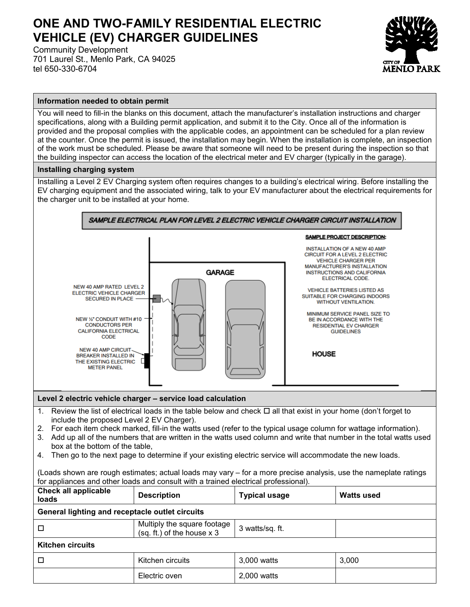## **ONE AND TWO-FAMILY RESIDENTIAL ELECTRIC VEHICLE (EV) CHARGER GUIDELINES**

Community Development 701 Laurel St., Menlo Park, CA 94025 tel 650-330-6704



## **Information needed to obtain permit**

You will need to fill-in the blanks on this document, attach the manufacturer's installation instructions and charger specifications, along with a Building permit application, and submit it to the City. Once all of the information is provided and the proposal complies with the applicable codes, an appointment can be scheduled for a plan review at the counter. Once the permit is issued, the installation may begin. When the installation is complete, an inspection of the work must be scheduled. Please be aware that someone will need to be present during the inspection so that the building inspector can access the location of the electrical meter and EV charger (typically in the garage).

## **Installing charging system**

Installing a Level 2 EV Charging system often requires changes to a building's electrical wiring. Before installing the EV charging equipment and the associated wiring, talk to your EV manufacturer about the electrical requirements for the charger unit to be installed at your home.



- 1. Review the list of electrical loads in the table below and check  $\Box$  all that exist in your home (don't forget to include the proposed Level 2 EV Charger).
- 2. For each item check marked, fill-in the watts used (refer to the typical usage column for wattage information).
- 3. Add up all of the numbers that are written in the watts used column and write that number in the total watts used box at the bottom of the table,
- 4. Then go to the next page to determine if your existing electric service will accommodate the new loads.

(Loads shown are rough estimates; actual loads may vary – for a more precise analysis, use the nameplate ratings for appliances and other loads and consult with a trained electrical professional).

| <b>Check all applicable</b><br>loads            | <b>Description</b>                                            | <b>Typical usage</b> | <b>Watts used</b> |  |  |  |  |  |
|-------------------------------------------------|---------------------------------------------------------------|----------------------|-------------------|--|--|--|--|--|
| General lighting and receptacle outlet circuits |                                                               |                      |                   |  |  |  |  |  |
| □                                               | Multiply the square footage<br>$(sq. ft.)$ of the house $x 3$ | 3 watts/sq. ft.      |                   |  |  |  |  |  |
| <b>Kitchen circuits</b>                         |                                                               |                      |                   |  |  |  |  |  |
| □                                               | Kitchen circuits                                              | 3,000 watts          | 3,000             |  |  |  |  |  |
|                                                 | Electric oven                                                 | 2,000 watts          |                   |  |  |  |  |  |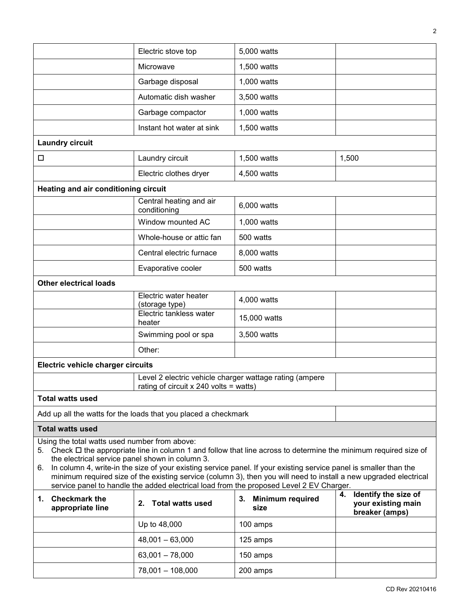|                                                                                                                                                                                                                                                                                                                                                                                                                                                                                                                                                                       | Electric stove top                                                                                | 5,000 watts                           |                                                                 |  |  |  |  |  |
|-----------------------------------------------------------------------------------------------------------------------------------------------------------------------------------------------------------------------------------------------------------------------------------------------------------------------------------------------------------------------------------------------------------------------------------------------------------------------------------------------------------------------------------------------------------------------|---------------------------------------------------------------------------------------------------|---------------------------------------|-----------------------------------------------------------------|--|--|--|--|--|
|                                                                                                                                                                                                                                                                                                                                                                                                                                                                                                                                                                       | Microwave                                                                                         | 1,500 watts                           |                                                                 |  |  |  |  |  |
|                                                                                                                                                                                                                                                                                                                                                                                                                                                                                                                                                                       | Garbage disposal                                                                                  | 1,000 watts                           |                                                                 |  |  |  |  |  |
|                                                                                                                                                                                                                                                                                                                                                                                                                                                                                                                                                                       | Automatic dish washer                                                                             | 3,500 watts                           |                                                                 |  |  |  |  |  |
|                                                                                                                                                                                                                                                                                                                                                                                                                                                                                                                                                                       | Garbage compactor                                                                                 | 1,000 watts                           |                                                                 |  |  |  |  |  |
|                                                                                                                                                                                                                                                                                                                                                                                                                                                                                                                                                                       | Instant hot water at sink                                                                         | 1,500 watts                           |                                                                 |  |  |  |  |  |
| <b>Laundry circuit</b>                                                                                                                                                                                                                                                                                                                                                                                                                                                                                                                                                |                                                                                                   |                                       |                                                                 |  |  |  |  |  |
| □                                                                                                                                                                                                                                                                                                                                                                                                                                                                                                                                                                     | Laundry circuit                                                                                   | 1,500 watts                           | 1,500                                                           |  |  |  |  |  |
|                                                                                                                                                                                                                                                                                                                                                                                                                                                                                                                                                                       | Electric clothes dryer                                                                            | 4,500 watts                           |                                                                 |  |  |  |  |  |
|                                                                                                                                                                                                                                                                                                                                                                                                                                                                                                                                                                       | Heating and air conditioning circuit                                                              |                                       |                                                                 |  |  |  |  |  |
|                                                                                                                                                                                                                                                                                                                                                                                                                                                                                                                                                                       | Central heating and air<br>conditioning                                                           | 6,000 watts                           |                                                                 |  |  |  |  |  |
|                                                                                                                                                                                                                                                                                                                                                                                                                                                                                                                                                                       | Window mounted AC                                                                                 | 1,000 watts                           |                                                                 |  |  |  |  |  |
|                                                                                                                                                                                                                                                                                                                                                                                                                                                                                                                                                                       | Whole-house or attic fan                                                                          | 500 watts                             |                                                                 |  |  |  |  |  |
|                                                                                                                                                                                                                                                                                                                                                                                                                                                                                                                                                                       | Central electric furnace                                                                          | 8,000 watts                           |                                                                 |  |  |  |  |  |
|                                                                                                                                                                                                                                                                                                                                                                                                                                                                                                                                                                       | Evaporative cooler                                                                                | 500 watts                             |                                                                 |  |  |  |  |  |
| <b>Other electrical loads</b>                                                                                                                                                                                                                                                                                                                                                                                                                                                                                                                                         |                                                                                                   |                                       |                                                                 |  |  |  |  |  |
|                                                                                                                                                                                                                                                                                                                                                                                                                                                                                                                                                                       | Electric water heater<br>(storage type)                                                           | 4,000 watts                           |                                                                 |  |  |  |  |  |
|                                                                                                                                                                                                                                                                                                                                                                                                                                                                                                                                                                       | Electric tankless water<br>heater                                                                 | 15,000 watts                          |                                                                 |  |  |  |  |  |
|                                                                                                                                                                                                                                                                                                                                                                                                                                                                                                                                                                       | Swimming pool or spa                                                                              | 3,500 watts                           |                                                                 |  |  |  |  |  |
|                                                                                                                                                                                                                                                                                                                                                                                                                                                                                                                                                                       | Other:                                                                                            |                                       |                                                                 |  |  |  |  |  |
| Electric vehicle charger circuits                                                                                                                                                                                                                                                                                                                                                                                                                                                                                                                                     |                                                                                                   |                                       |                                                                 |  |  |  |  |  |
|                                                                                                                                                                                                                                                                                                                                                                                                                                                                                                                                                                       | Level 2 electric vehicle charger wattage rating (ampere<br>rating of circuit x 240 volts = watts) |                                       |                                                                 |  |  |  |  |  |
| <b>Total watts used</b>                                                                                                                                                                                                                                                                                                                                                                                                                                                                                                                                               |                                                                                                   |                                       |                                                                 |  |  |  |  |  |
|                                                                                                                                                                                                                                                                                                                                                                                                                                                                                                                                                                       | Add up all the watts for the loads that you placed a checkmark                                    |                                       |                                                                 |  |  |  |  |  |
| <b>Total watts used</b>                                                                                                                                                                                                                                                                                                                                                                                                                                                                                                                                               |                                                                                                   |                                       |                                                                 |  |  |  |  |  |
| Using the total watts used number from above:<br>5. Check $\Box$ the appropriate line in column 1 and follow that line across to determine the minimum required size of<br>the electrical service panel shown in column 3.<br>In column 4, write-in the size of your existing service panel. If your existing service panel is smaller than the<br>6.<br>minimum required size of the existing service (column 3), then you will need to install a new upgraded electrical<br>service panel to handle the added electrical load from the proposed Level 2 EV Charger. |                                                                                                   |                                       |                                                                 |  |  |  |  |  |
| 1. Checkmark the<br>appropriate line                                                                                                                                                                                                                                                                                                                                                                                                                                                                                                                                  | <b>Total watts used</b><br>2.                                                                     | 3.<br><b>Minimum required</b><br>size | 4. Identify the size of<br>your existing main<br>breaker (amps) |  |  |  |  |  |
|                                                                                                                                                                                                                                                                                                                                                                                                                                                                                                                                                                       | Up to 48,000                                                                                      | 100 amps                              |                                                                 |  |  |  |  |  |
|                                                                                                                                                                                                                                                                                                                                                                                                                                                                                                                                                                       | $48,001 - 63,000$                                                                                 | 125 amps                              |                                                                 |  |  |  |  |  |
|                                                                                                                                                                                                                                                                                                                                                                                                                                                                                                                                                                       | $63,001 - 78,000$                                                                                 | 150 amps                              |                                                                 |  |  |  |  |  |
|                                                                                                                                                                                                                                                                                                                                                                                                                                                                                                                                                                       | 78,001 - 108,000                                                                                  | 200 amps                              |                                                                 |  |  |  |  |  |